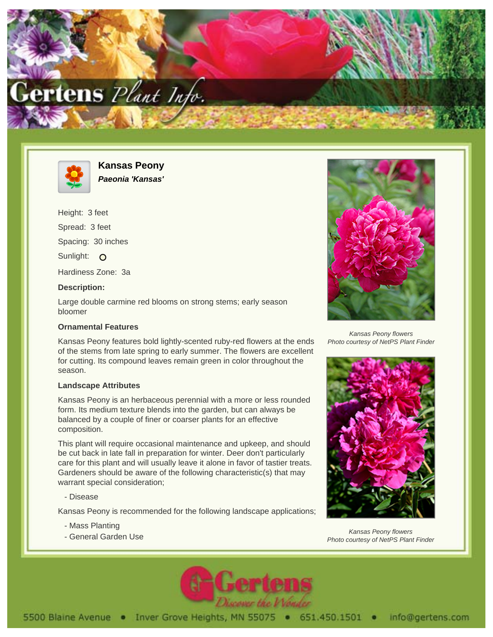



**Kansas Peony Paeonia 'Kansas'**

Height: 3 feet Spread: 3 feet Spacing: 30 inches Sunlight: O Hardiness Zone: 3a

## **Description:**

Large double carmine red blooms on strong stems; early season bloomer

## **Ornamental Features**

Kansas Peony features bold lightly-scented ruby-red flowers at the ends of the stems from late spring to early summer. The flowers are excellent for cutting. Its compound leaves remain green in color throughout the season.

## **Landscape Attributes**

Kansas Peony is an herbaceous perennial with a more or less rounded form. Its medium texture blends into the garden, but can always be balanced by a couple of finer or coarser plants for an effective composition.

This plant will require occasional maintenance and upkeep, and should be cut back in late fall in preparation for winter. Deer don't particularly care for this plant and will usually leave it alone in favor of tastier treats. Gardeners should be aware of the following characteristic(s) that may warrant special consideration;

- Disease

Kansas Peony is recommended for the following landscape applications;

- Mass Planting
- General Garden Use



Kansas Peony flowers Photo courtesy of NetPS Plant Finder



Kansas Peony flowers Photo courtesy of NetPS Plant Finder